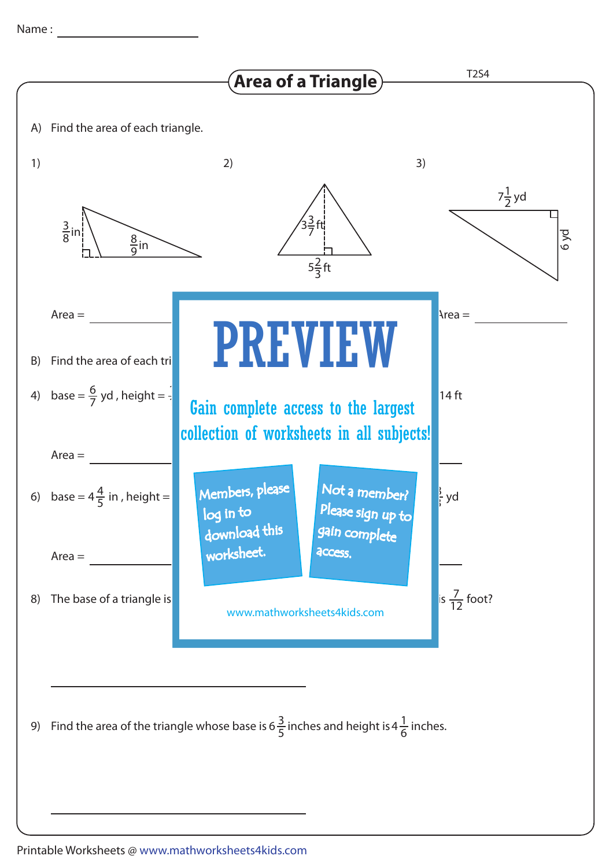